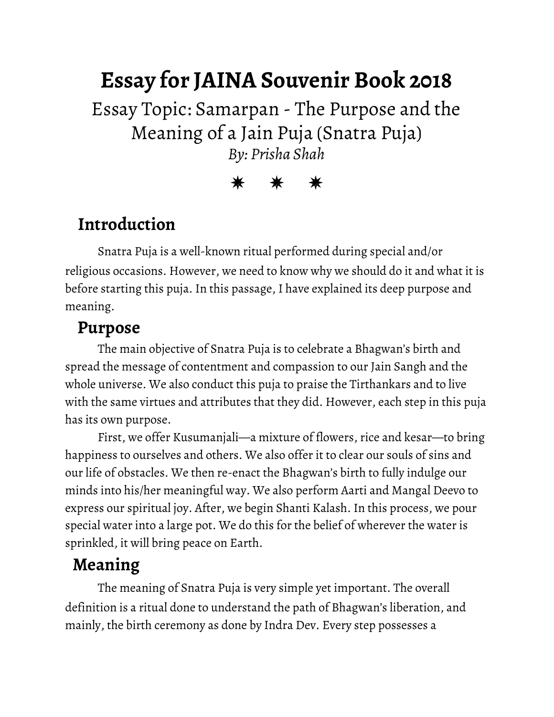# **Essay for JAINA Souvenir Book 2018**

Essay Topic: Samarpan - The Purpose and the Meaning of a Jain Puja (Snatra Puja) *By: Prisha Shah*

#### ✵ ✵ ✵

### **Introduction**

Snatra Puja is a well-known ritual performed during special and/or religious occasions. However, we need to know why we should do it and what it is before starting this puja. In this passage, I have explained its deep purpose and meaning.

#### **Purpose**

The main objective of Snatra Puja is to celebrate a Bhagwan's birth and spread the message of contentment and compassion to our Jain Sangh and the whole universe. We also conduct this puja to praise the Tirthankars and to live with the same virtues and attributes that they did. However, each step in this puja has its own purpose.

First, we offer Kusumanjali―a mixture of flowers, rice and kesar―to bring happiness to ourselves and others. We also offer it to clear our souls of sins and our life of obstacles. We then re-enact the Bhagwan's birth to fully indulge our minds into his/her meaningful way. We also perform Aarti and Mangal Deevo to express our spiritual joy. After, we begin Shanti Kalash. In this process, we pour special water into a large pot. We do this for the belief of wherever the water is sprinkled, it will bring peace on Earth.

## **Meaning**

The meaning of Snatra Puja is very simple yet important. The overall definition is a ritual done to understand the path of Bhagwan's liberation, and mainly, the birth ceremony as done by Indra Dev. Every step possesses a